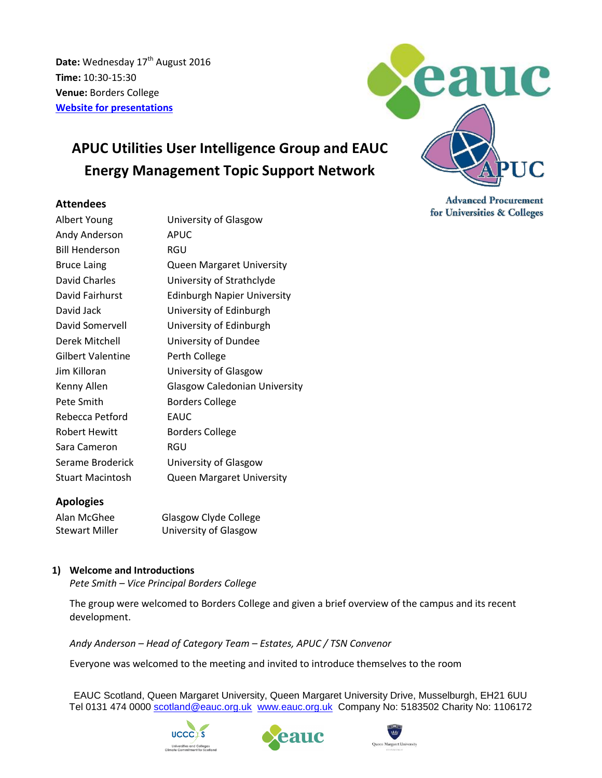Date: Wednesday 17<sup>th</sup> August 2016 **Time:** 10:30-15:30 **Venue:** Borders College **[Website for presentations](http://www.sustainabilityexchange.ac.uk/energy_management_tsn_and_apuc_utilities_uig_me)**

# **APUC Utilities User Intelligence Group and EAUC Energy Management Topic Support Network**

## **Attendees**

| Albert Young          | University of Glasgow                |
|-----------------------|--------------------------------------|
| Andy Anderson         | <b>APUC</b>                          |
| <b>Bill Henderson</b> | RGU                                  |
| <b>Bruce Laing</b>    | <b>Queen Margaret University</b>     |
| David Charles         | University of Strathclyde            |
| David Fairhurst       | <b>Edinburgh Napier University</b>   |
| David Jack            | University of Edinburgh              |
| David Somervell       | University of Edinburgh              |
| Derek Mitchell        | University of Dundee                 |
| Gilbert Valentine     | Perth College                        |
| Jim Killoran          | University of Glasgow                |
| Kenny Allen           | <b>Glasgow Caledonian University</b> |
| Pete Smith            | <b>Borders College</b>               |
| Rebecca Petford       | EAUC                                 |
| Robert Hewitt         | <b>Borders College</b>               |
| Sara Cameron          | RGU                                  |
| Serame Broderick      | University of Glasgow                |
| Stuart Macintosh      | <b>Queen Margaret University</b>     |

# **Apologies**

| Alan McGhee    | Glasgow Clyde College |
|----------------|-----------------------|
| Stewart Miller | University of Glasgow |

## **1) Welcome and Introductions**

*Pete Smith – Vice Principal Borders College*

The group were welcomed to Borders College and given a brief overview of the campus and its recent development.

*Andy Anderson – Head of Category Team – Estates, APUC / TSN Convenor*

Everyone was welcomed to the meeting and invited to introduce themselves to the room

EAUC Scotland, Queen Margaret University, Queen Margaret University Drive, Musselburgh, EH21 6UU Tel 0131 474 0000 [scotland@eauc.org.uk](mailto:scotland@eauc.org.uk) [www.eauc.org.uk](http://www.eauc.org.uk/) Company No: 5183502 Charity No: 1106172









**Advanced Procurement** for Universities & Colleges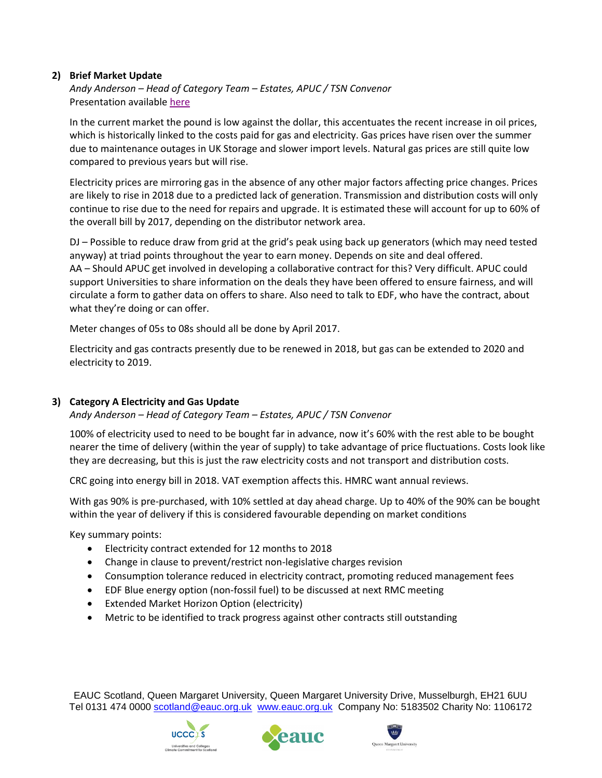# **2) Brief Market Update**

*Andy Anderson – Head of Category Team – Estates, APUC / TSN Convenor* Presentation available [here](http://www.sustainabilityexchange.ac.uk/energy_management_tsn_and_apuc_utilities_uig_me)

In the current market the pound is low against the dollar, this accentuates the recent increase in oil prices, which is historically linked to the costs paid for gas and electricity. Gas prices have risen over the summer due to maintenance outages in UK Storage and slower import levels. Natural gas prices are still quite low compared to previous years but will rise.

Electricity prices are mirroring gas in the absence of any other major factors affecting price changes. Prices are likely to rise in 2018 due to a predicted lack of generation. Transmission and distribution costs will only continue to rise due to the need for repairs and upgrade. It is estimated these will account for up to 60% of the overall bill by 2017, depending on the distributor network area.

DJ – Possible to reduce draw from grid at the grid's peak using back up generators (which may need tested anyway) at triad points throughout the year to earn money. Depends on site and deal offered. AA – Should APUC get involved in developing a collaborative contract for this? Very difficult. APUC could support Universities to share information on the deals they have been offered to ensure fairness, and will circulate a form to gather data on offers to share. Also need to talk to EDF, who have the contract, about what they're doing or can offer.

Meter changes of 05s to 08s should all be done by April 2017.

Electricity and gas contracts presently due to be renewed in 2018, but gas can be extended to 2020 and electricity to 2019.

## **3) Category A Electricity and Gas Update**

*Andy Anderson – Head of Category Team – Estates, APUC / TSN Convenor*

100% of electricity used to need to be bought far in advance, now it's 60% with the rest able to be bought nearer the time of delivery (within the year of supply) to take advantage of price fluctuations. Costs look like they are decreasing, but this is just the raw electricity costs and not transport and distribution costs.

CRC going into energy bill in 2018. VAT exemption affects this. HMRC want annual reviews.

With gas 90% is pre-purchased, with 10% settled at day ahead charge. Up to 40% of the 90% can be bought within the year of delivery if this is considered favourable depending on market conditions

Key summary points:

- Electricity contract extended for 12 months to 2018
- Change in clause to prevent/restrict non-legislative charges revision
- Consumption tolerance reduced in electricity contract, promoting reduced management fees
- EDF Blue energy option (non-fossil fuel) to be discussed at next RMC meeting
- Extended Market Horizon Option (electricity)
- Metric to be identified to track progress against other contracts still outstanding

EAUC Scotland, Queen Margaret University, Queen Margaret University Drive, Musselburgh, EH21 6UU Tel 0131 474 0000 [scotland@eauc.org.uk](mailto:scotland@eauc.org.uk) [www.eauc.org.uk](http://www.eauc.org.uk/) Company No: 5183502 Charity No: 1106172





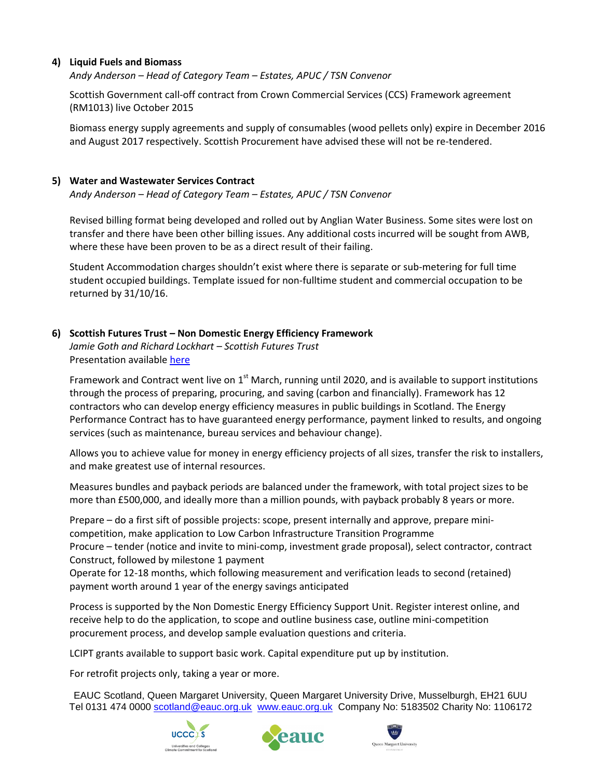# **4) Liquid Fuels and Biomass**

*Andy Anderson – Head of Category Team – Estates, APUC / TSN Convenor*

Scottish Government call-off contract from Crown Commercial Services (CCS) Framework agreement (RM1013) live October 2015

Biomass energy supply agreements and supply of consumables (wood pellets only) expire in December 2016 and August 2017 respectively. Scottish Procurement have advised these will not be re-tendered.

#### **5) Water and Wastewater Services Contract**

*Andy Anderson – Head of Category Team – Estates, APUC / TSN Convenor*

Revised billing format being developed and rolled out by Anglian Water Business. Some sites were lost on transfer and there have been other billing issues. Any additional costs incurred will be sought from AWB, where these have been proven to be as a direct result of their failing.

Student Accommodation charges shouldn't exist where there is separate or sub-metering for full time student occupied buildings. Template issued for non-fulltime student and commercial occupation to be returned by 31/10/16.

## **6) Scottish Futures Trust – Non Domestic Energy Efficiency Framework**

*Jamie Goth and Richard Lockhart – Scottish Futures Trust* Presentation available [here](http://www.sustainabilityexchange.ac.uk/energy_management_tsn_and_apuc_utilities_uig_me)

Framework and Contract went live on  $1<sup>st</sup>$  March, running until 2020, and is available to support institutions through the process of preparing, procuring, and saving (carbon and financially). Framework has 12 contractors who can develop energy efficiency measures in public buildings in Scotland. The Energy Performance Contract has to have guaranteed energy performance, payment linked to results, and ongoing services (such as maintenance, bureau services and behaviour change).

Allows you to achieve value for money in energy efficiency projects of all sizes, transfer the risk to installers, and make greatest use of internal resources.

Measures bundles and payback periods are balanced under the framework, with total project sizes to be more than £500,000, and ideally more than a million pounds, with payback probably 8 years or more.

Prepare – do a first sift of possible projects: scope, present internally and approve, prepare minicompetition, make application to Low Carbon Infrastructure Transition Programme

Procure – tender (notice and invite to mini-comp, investment grade proposal), select contractor, contract Construct, followed by milestone 1 payment

Operate for 12-18 months, which following measurement and verification leads to second (retained) payment worth around 1 year of the energy savings anticipated

Process is supported by the Non Domestic Energy Efficiency Support Unit. Register interest online, and receive help to do the application, to scope and outline business case, outline mini-competition procurement process, and develop sample evaluation questions and criteria.

LCIPT grants available to support basic work. Capital expenditure put up by institution.

For retrofit projects only, taking a year or more.

EAUC Scotland, Queen Margaret University, Queen Margaret University Drive, Musselburgh, EH21 6UU Tel 0131 474 0000 [scotland@eauc.org.uk](mailto:scotland@eauc.org.uk) [www.eauc.org.uk](http://www.eauc.org.uk/) Company No: 5183502 Charity No: 1106172